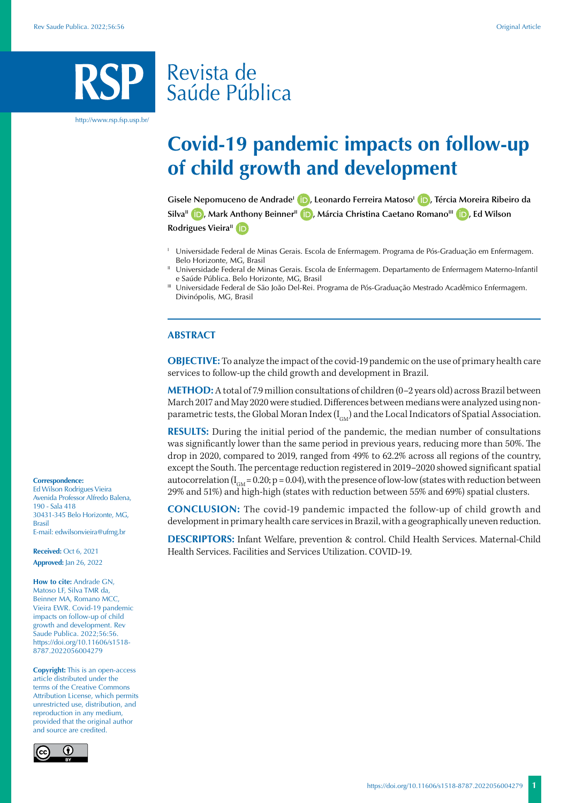# Revista de Saúde Pública

http://www.rsp.fsp.usp.br/

# **Covid-19 pandemic impacts on follow-up of child growth and development**

**Gisele Nepomuceno de AndradeI [,](https://orcid.org/0000-0003-0433-8351) Leonardo Ferreira MatosoI [,](https://orcid.org/0000-0002-9639-5179) Tércia Moreira Ribeiro da SilvaII [,](https://orcid.org/0000-0002-5261-2266) Mark Anthony BeinnerII [,](https://orcid.org/0000-0002-0980-8976) Márcia Christina Caetano RomanoIII [,](https://orcid.org/0000-0002-1819-4689) Ed Wilson Rodrigues Vieira<sup>"</sup> iD** 

- <sup>1</sup> Universidade Federal de Minas Gerais. Escola de Enfermagem. Programa de Pós-Graduação em Enfermagem. Belo Horizonte, MG, Brasil
- II Universidade Federal de Minas Gerais. Escola de Enfermagem. Departamento de Enfermagem Materno-Infantil e Saúde Pública. Belo Horizonte, MG, Brasil
- III Universidade Federal de São João Del-Rei. Programa de Pós-Graduação Mestrado Acadêmico Enfermagem. Divinópolis, MG, Brasil

### **ABSTRACT**

**OBJECTIVE:** To analyze the impact of the covid-19 pandemic on the use of primary health care services to follow-up the child growth and development in Brazil.

**METHOD:** A total of 7.9 million consultations of children (0-2 years old) across Brazil between March 2017 and May 2020 were studied. Differences between medians were analyzed using nonparametric tests, the Global Moran Index  $(I_{GM})$  and the Local Indicators of Spatial Association.

**RESULTS:** During the initial period of the pandemic, the median number of consultations was significantly lower than the same period in previous years, reducing more than 50%. The drop in 2020, compared to 2019, ranged from 49% to 62.2% across all regions of the country, except the South. The percentage reduction registered in 2019–2020 showed significant spatial autocorrelation  $(I_{\text{GM}} = 0.20; p = 0.04)$ , with the presence of low-low (states with reduction between 29% and 51%) and high-high (states with reduction between 55% and 69%) spatial clusters.

**CONCLUSION:** The covid-19 pandemic impacted the follow-up of child growth and development in primary health care services in Brazil, with a geographically uneven reduction.

**DESCRIPTORS:** Infant Welfare, prevention & control. Child Health Services. Maternal-Child Health Services. Facilities and Services Utilization. COVID-19.

#### **Correspondence:**

Ed Wilson Rodrigues Vieira Avenida Professor Alfredo Balena, 190 - Sala 418 30431-345 Belo Horizonte, MG, Brasil E-mail: edwilsonvieira@ufmg.br

**Received:** Oct 6, 2021 **Approved:** Jan 26, 2022

**How to cite:** Andrade GN, Matoso LF, Silva TMR da, Beinner MA, Romano MCC, Vieira EWR. Covid-19 pandemic impacts on follow-up of child growth and development. Rev Saude Publica. 2022;56:56. https://doi.org/10.11606/s1518- 8787.2022056004279

**Copyright:** This is an open-access article distributed under the terms of the Creative Commons Attribution License, which permits unrestricted use, distribution, and reproduction in any medium, provided that the original author and source are credited.

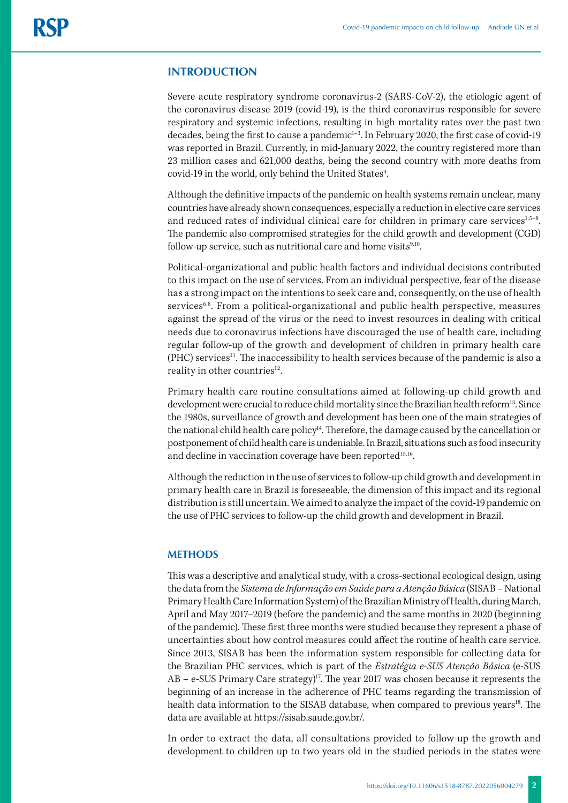# **INTRODUCTION**

Severe acute respiratory syndrome coronavirus-2 (SARS-CoV-2), the etiologic agent of the coronavirus disease 2019 (covid-19), is the third coronavirus responsible for severe respiratory and systemic infections, resulting in high mortality rates over the past two decades, being the first to cause a pandemic<sup>1-3</sup>. In February 2020, the first case of covid-19 was reported in Brazil. Currently, in mid-January 2022, the country registered more than 23 million cases and 621,000 deaths, being the second country with more deaths from covid-19 in the world, only behind the United States<sup>4</sup>. .

Although the definitive impacts of the pandemic on health systems remain unclear, many countries have already shown consequences, especially a reduction in elective care services and reduced rates of individual clinical care for children in primary care services $1.5-8$ . The pandemic also compromised strategies for the child growth and development (CGD) follow-up service, such as nutritional care and home visits $9,10$ .

Political-organizational and public health factors and individual decisions contributed to this impact on the use of services. From an individual perspective, fear of the disease has a strong impact on the intentions to seek care and, consequently, on the use of health services<sup>6,8</sup>. From a political-organizational and public health perspective, measures against the spread of the virus or the need to invest resources in dealing with critical needs due to coronavirus infections have discouraged the use of health care, including regular follow-up of the growth and development of children in primary health care (PHC) services<sup>11</sup>. The inaccessibility to health services because of the pandemic is also a reality in other countries<sup>12</sup>.

Primary health care routine consultations aimed at following-up child growth and development were crucial to reduce child mortality since the Brazilian health reform<sup>13</sup>. Since the 1980s, surveillance of growth and development has been one of the main strategies of the national child health care policy<sup>14</sup>. Therefore, the damage caused by the cancellation or postponement of child health care is undeniable. In Brazil, situations such as food insecurity and decline in vaccination coverage have been reported<sup>15,16</sup>.

Although the reduction in the use of services to follow-up child growth and development in primary health care in Brazil is foreseeable, the dimension of this impact and its regional distribution is still uncertain. We aimed to analyze the impact of the covid-19 pandemic on the use of PHC services to follow-up the child growth and development in Brazil.

### **METHODS**

This was a descriptive and analytical study, with a cross-sectional ecological design, using the data from the *Sistema de Informação em Saúde para a Atenção Básica* (SISAB – National Primary Health Care Information System) of the Brazilian Ministry of Health, during March, April and May 2017–2019 (before the pandemic) and the same months in 2020 (beginning of the pandemic). These first three months were studied because they represent a phase of uncertainties about how control measures could affect the routine of health care service. Since 2013, SISAB has been the information system responsible for collecting data for the Brazilian PHC services, which is part of the *Estratégia e-SUS Atenção Básica* (e-SUS AB – e-SUS Primary Care strategy)<sup>17</sup>. The year 2017 was chosen because it represents the beginning of an increase in the adherence of PHC teams regarding the transmission of health data information to the SISAB database, when compared to previous years<sup>18</sup>. The data are available at [https://sisab.saude.gov.br/.](https://sisab.saude.gov.br/)

In order to extract the data, all consultations provided to follow-up the growth and development to children up to two years old in the studied periods in the states were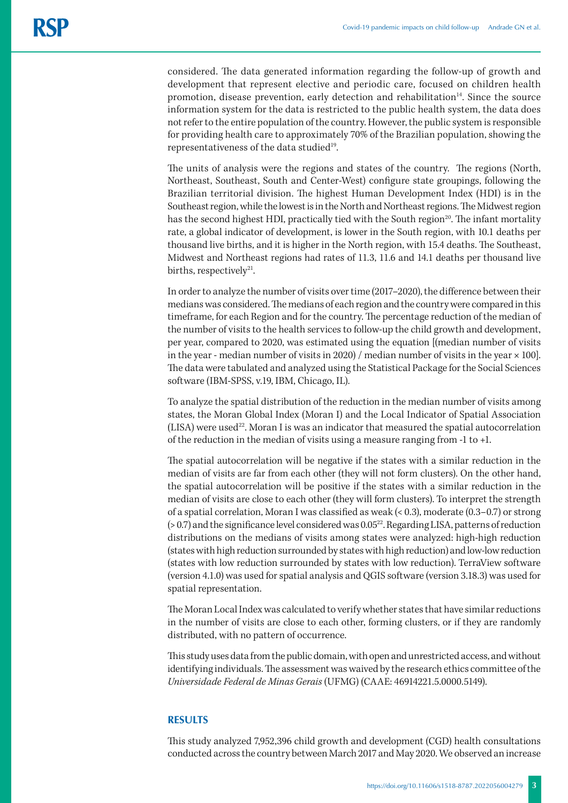considered. The data generated information regarding the follow-up of growth and development that represent elective and periodic care, focused on children health promotion, disease prevention, early detection and rehabilitation<sup>14</sup>. Since the source information system for the data is restricted to the public health system, the data does not refer to the entire population of the country. However, the public system is responsible for providing health care to approximately 70% of the Brazilian population, showing the representativeness of the data studied<sup>19</sup>.

The units of analysis were the regions and states of the country. The regions (North, Northeast, Southeast, South and Center-West) configure state groupings, following the Brazilian territorial division. The highest Human Development Index (HDI) is in the Southeast region, while the lowest is in the North and Northeast regions. The Midwest region has the second highest HDI, practically tied with the South region<sup>20</sup>. The infant mortality rate, a global indicator of development, is lower in the South region, with 10.1 deaths per thousand live births, and it is higher in the North region, with 15.4 deaths. The Southeast, Midwest and Northeast regions had rates of 11.3, 11.6 and 14.1 deaths per thousand live births, respectively $2^1$ .

In order to analyze the number of visits over time (2017–2020), the difference between their medians was considered. The medians of each region and the country were compared in this timeframe, for each Region and for the country. The percentage reduction of the median of the number of visits to the health services to follow-up the child growth and development, per year, compared to 2020, was estimated using the equation [(median number of visits in the year - median number of visits in 2020) / median number of visits in the year  $\times$  100]. The data were tabulated and analyzed using the Statistical Package for the Social Sciences software (IBM-SPSS, v.19, IBM, Chicago, IL).

To analyze the spatial distribution of the reduction in the median number of visits among states, the Moran Global Index (Moran I) and the Local Indicator of Spatial Association (LISA) were used<sup>22</sup>. Moran I is was an indicator that measured the spatial autocorrelation of the reduction in the median of visits using a measure ranging from -1 to +1.

The spatial autocorrelation will be negative if the states with a similar reduction in the median of visits are far from each other (they will not form clusters). On the other hand, the spatial autocorrelation will be positive if the states with a similar reduction in the median of visits are close to each other (they will form clusters). To interpret the strength of a spatial correlation, Moran I was classified as weak (< 0.3), moderate (0.3–0.7) or strong  $(> 0.7)$  and the significance level considered was  $0.05^{22}$ . Regarding LISA, patterns of reduction distributions on the medians of visits among states were analyzed: high-high reduction (states with high reduction surrounded by states with high reduction) and low-low reduction (states with low reduction surrounded by states with low reduction). TerraView software (version 4.1.0) was used for spatial analysis and QGIS software (version 3.18.3) was used for spatial representation.

The Moran Local Index was calculated to verify whether states that have similar reductions in the number of visits are close to each other, forming clusters, or if they are randomly distributed, with no pattern of occurrence.

This study uses data from the public domain, with open and unrestricted access, and without identifying individuals. The assessment was waived by the research ethics committee of the *Universidade Federal de Minas Gerais* (UFMG) (CAAE: 46914221.5.0000.5149).

# **RESULTS**

This study analyzed 7,952,396 child growth and development (CGD) health consultations conducted across the country between March 2017 and May 2020. We observed an increase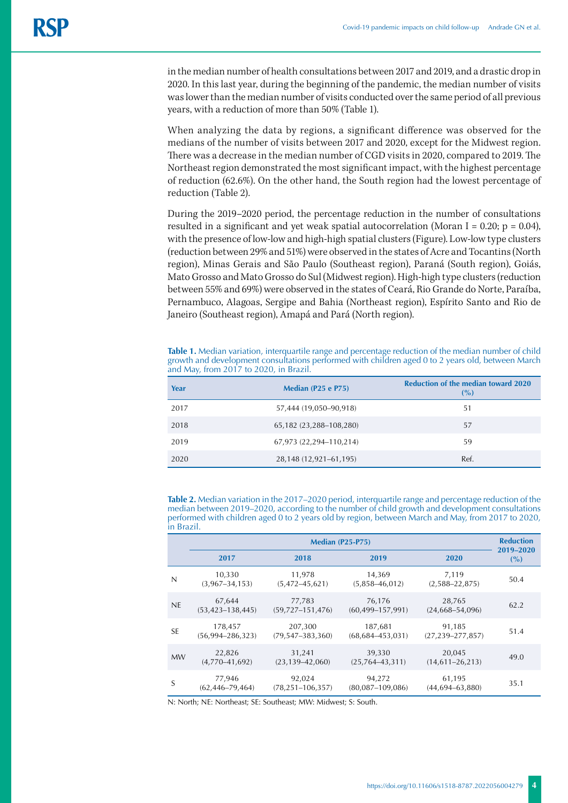in the median number of health consultations between 2017 and 2019, and a drastic drop in 2020. In this last year, during the beginning of the pandemic, the median number of visits was lower than the median number of visits conducted over the same period of all previous years, with a reduction of more than 50% (Table 1).

When analyzing the data by regions, a significant difference was observed for the medians of the number of visits between 2017 and 2020, except for the Midwest region. There was a decrease in the median number of CGD visits in 2020, compared to 2019. The Northeast region demonstrated the most significant impact, with the highest percentage of reduction (62.6%). On the other hand, the South region had the lowest percentage of reduction (Table 2).

During the 2019–2020 period, the percentage reduction in the number of consultations resulted in a significant and yet weak spatial autocorrelation (Moran I = 0.20;  $p = 0.04$ ), with the presence of low-low and high-high spatial clusters (Figure). Low-low type clusters (reduction between 29% and 51%) were observed in the states of Acre and Tocantins (North region), Minas Gerais and São Paulo (Southeast region), Paraná (South region), Goiás, Mato Grosso and Mato Grosso do Sul (Midwest region). High-high type clusters (reduction between 55% and 69%) were observed in the states of Ceará, Rio Grande do Norte, Paraíba, Pernambuco, Alagoas, Sergipe and Bahia (Northeast region), Espírito Santo and Rio de Janeiro (Southeast region), Amapá and Pará (North region).

**Table 1.** Median variation, interquartile range and percentage reduction of the median number of child growth and development consultations performed with children aged 0 to 2 years old, between March and May, from 2017 to 2020, in Brazil.

| Year | Median (P25 e P75)      | <b>Reduction of the median toward 2020</b><br>(%) |
|------|-------------------------|---------------------------------------------------|
| 2017 | 57,444 (19,050-90,918)  | 51                                                |
| 2018 | 65,182 (23,288-108,280) | 57                                                |
| 2019 | 67,973 (22,294-110,214) | 59                                                |
| 2020 | 28,148 (12,921-61,195)  | Ref.                                              |

**Table 2.** Median variation in the 2017–2020 period, interquartile range and percentage reduction of the median between 2019–2020, according to the number of child growth and development consultations performed with children aged 0 to 2 years old by region, between March and May, from 2017 to 2020, in Brazil.

|           | <b>Median (P25-P75)</b>          |                                   |                                  |                                  | <b>Reduction</b> |
|-----------|----------------------------------|-----------------------------------|----------------------------------|----------------------------------|------------------|
|           | 2017                             | 2018                              | 2019                             | 2020                             | 2019-2020<br>(%) |
| N         | 10,330<br>$(3,967-34,153)$       | 11,978<br>$(5,472 - 45,621)$      | 14,369<br>$(5,858 - 46,012)$     | 7,119<br>$(2,588 - 22,875)$      | 50.4             |
| <b>NE</b> | 67,644<br>$(53, 423 - 138, 445)$ | 77,783<br>$(59,727-151,476)$      | 76,176<br>$(60, 499 - 157, 991)$ | 28,765<br>$(24,668 - 54,096)$    | 62.2             |
| <b>SE</b> | 178,457<br>$(56,994 - 286,323)$  | 207,300<br>$(79, 547 - 383, 360)$ | 187,681<br>$(68,684 - 453,031)$  | 91,185<br>$(27, 239 - 277, 857)$ | 51.4             |
| <b>MW</b> | 22,826<br>$(4,770-41,692)$       | 31,241<br>$(23, 139 - 42, 060)$   | 39,330<br>$(25,764-43,311)$      | 20,045<br>$(14,611 - 26,213)$    | 49.0             |
| S         | 77,946<br>$(62, 446 - 79, 464)$  | 92,024<br>$(78, 251 - 106, 357)$  | 94,272<br>$(80,087 - 109,086)$   | 61,195<br>$(44,694 - 63,880)$    | 35.1             |

N: North; NE: Northeast; SE: Southeast; MW: Midwest; S: South.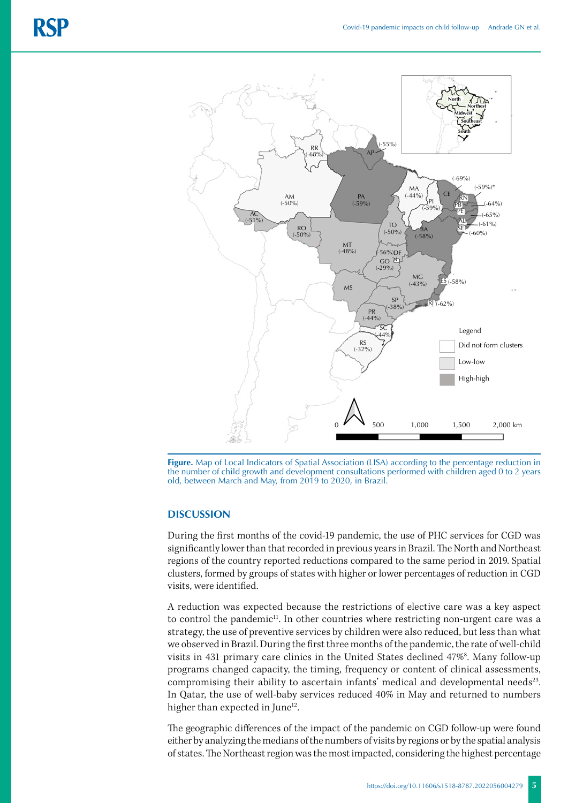

**Figure.** Map of Local Indicators of Spatial Association (LISA) according to the percentage reduction in the number of child growth and development consultations performed with children aged 0 to 2 years old, between March and May, from 2019 to 2020, in Brazil.

#### **DISCUSSION**

During the first months of the covid-19 pandemic, the use of PHC services for CGD was significantly lower than that recorded in previous years in Brazil. The North and Northeast regions of the country reported reductions compared to the same period in 2019. Spatial clusters, formed by groups of states with higher or lower percentages of reduction in CGD visits, were identified.

A reduction was expected because the restrictions of elective care was a key aspect to control the pandemic<sup>11</sup>. In other countries where restricting non-urgent care was a strategy, the use of preventive services by children were also reduced, but less than what we observed in Brazil. During the first three months of the pandemic, the rate of well-child visits in 431 primary care clinics in the United States declined 47%<sup>8</sup>. Many follow-up programs changed capacity, the timing, frequency or content of clinical assessments, compromising their ability to ascertain infants' medical and developmental needs<sup>23</sup>. In Qatar, the use of well-baby services reduced 40% in May and returned to numbers higher than expected in June<sup>12</sup>.

The geographic differences of the impact of the pandemic on CGD follow-up were found either by analyzing the medians of the numbers of visits by regions or by the spatial analysis of states. The Northeast region was the most impacted, considering the highest percentage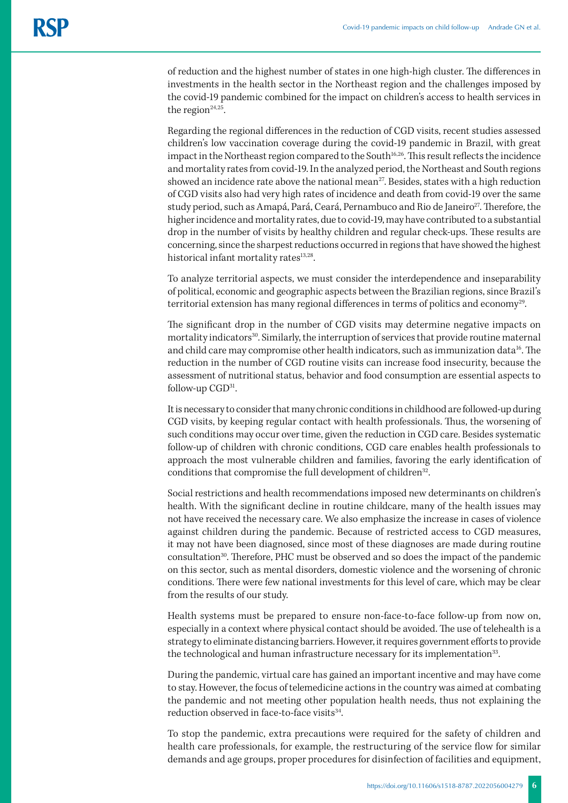of reduction and the highest number of states in one high-high cluster. The differences in investments in the health sector in the Northeast region and the challenges imposed by the covid-19 pandemic combined for the impact on children's access to health services in the region $24,25$ .

Regarding the regional differences in the reduction of CGD visits, recent studies assessed children's low vaccination coverage during the covid-19 pandemic in Brazil, with great impact in the Northeast region compared to the South<sup>16,26</sup>. This result reflects the incidence and mortality rates from covid-19. In the analyzed period, the Northeast and South regions showed an incidence rate above the national mean<sup>27</sup>. Besides, states with a high reduction of CGD visits also had very high rates of incidence and death from covid-19 over the same study period, such as Amapá, Pará, Ceará, Pernambuco and Rio de Janeiro<sup>27</sup>. Therefore, the higher incidence and mortality rates, due to covid-19, may have contributed to a substantial drop in the number of visits by healthy children and regular check-ups. These results are concerning, since the sharpest reductions occurred in regions that have showed the highest historical infant mortality rates<sup>13,28</sup>.

To analyze territorial aspects, we must consider the interdependence and inseparability of political, economic and geographic aspects between the Brazilian regions, since Brazil's territorial extension has many regional differences in terms of politics and economy<sup>29</sup>.

The significant drop in the number of CGD visits may determine negative impacts on mortality indicators<sup>30</sup>. Similarly, the interruption of services that provide routine maternal and child care may compromise other health indicators, such as immunization data<sup>16</sup>. The reduction in the number of CGD routine visits can increase food insecurity, because the assessment of nutritional status, behavior and food consumption are essential aspects to follow-up  $CGD^{31}$ .

It is necessary to consider that many chronic conditions in childhood are followed-up during CGD visits, by keeping regular contact with health professionals. Thus, the worsening of such conditions may occur over time, given the reduction in CGD care. Besides systematic follow-up of children with chronic conditions, CGD care enables health professionals to approach the most vulnerable children and families, favoring the early identification of conditions that compromise the full development of children<sup>32</sup>.

Social restrictions and health recommendations imposed new determinants on children's health. With the significant decline in routine childcare, many of the health issues may not have received the necessary care. We also emphasize the increase in cases of violence against children during the pandemic. Because of restricted access to CGD measures, it may not have been diagnosed, since most of these diagnoses are made during routine consultation30. Therefore, PHC must be observed and so does the impact of the pandemic on this sector, such as mental disorders, domestic violence and the worsening of chronic conditions. There were few national investments for this level of care, which may be clear from the results of our study.

Health systems must be prepared to ensure non-face-to-face follow-up from now on, especially in a context where physical contact should be avoided. The use of telehealth is a strategy to eliminate distancing barriers. However, it requires government efforts to provide the technological and human infrastructure necessary for its implementation<sup>33</sup>.

During the pandemic, virtual care has gained an important incentive and may have come to stay. However, the focus of telemedicine actions in the country was aimed at combating the pandemic and not meeting other population health needs, thus not explaining the reduction observed in face-to-face visits<sup>34</sup>.

To stop the pandemic, extra precautions were required for the safety of children and health care professionals, for example, the restructuring of the service flow for similar demands and age groups, proper procedures for disinfection of facilities and equipment,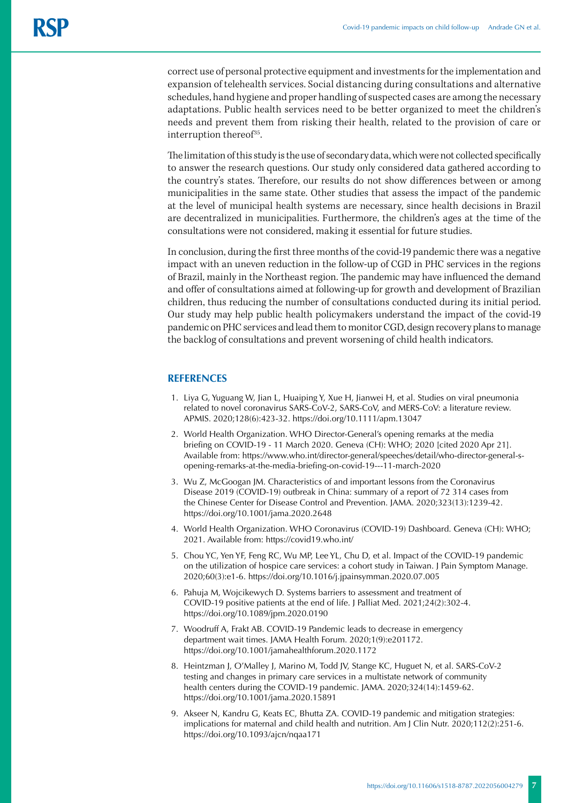correct use of personal protective equipment and investments for the implementation and expansion of telehealth services. Social distancing during consultations and alternative schedules, hand hygiene and proper handling of suspected cases are among the necessary adaptations. Public health services need to be better organized to meet the children's needs and prevent them from risking their health, related to the provision of care or interruption thereof<sup>35</sup>.

The limitation of this study is the use of secondary data, which were not collected specifically to answer the research questions. Our study only considered data gathered according to the country's states. Therefore, our results do not show differences between or among municipalities in the same state. Other studies that assess the impact of the pandemic at the level of municipal health systems are necessary, since health decisions in Brazil are decentralized in municipalities. Furthermore, the children's ages at the time of the consultations were not considered, making it essential for future studies.

In conclusion, during the first three months of the covid-19 pandemic there was a negative impact with an uneven reduction in the follow-up of CGD in PHC services in the regions of Brazil, mainly in the Northeast region. The pandemic may have influenced the demand and offer of consultations aimed at following-up for growth and development of Brazilian children, thus reducing the number of consultations conducted during its initial period. Our study may help public health policymakers understand the impact of the covid-19 pandemic on PHC services and lead them to monitor CGD, design recovery plans to manage the backlog of consultations and prevent worsening of child health indicators.

#### **REFERENCES**

- 1. Liya G, Yuguang W, Jian L, Huaiping Y, Xue H, Jianwei H, et al. Studies on viral pneumonia related to novel coronavirus SARS-CoV-2, SARS-CoV, and MERS-CoV: a literature review. APMIS. 2020;128(6):423-32. <https://doi.org/10.1111/apm.13047>
- 2. World Health Organization. WHO Director-General's opening remarks at the media briefing on COVID-19 - 11 March 2020. Geneva (CH): WHO; 2020 [cited 2020 Apr 21]. Available from: https://www.who.int/director-general/speeches/detail/who-director-general-sopening-remarks-at-the-media-briefing-on-covid-19---11-march-2020
- 3. Wu Z, McGoogan JM. Characteristics of and important lessons from the Coronavirus Disease 2019 (COVID-19) outbreak in China: summary of a report of 72 314 cases from the Chinese Center for Disease Control and Prevention. JAMA. 2020;323(13):1239-42. https://doi.org/10.1001/jama.2020.2648
- 4. World Health Organization. WHO Coronavirus (COVID-19) Dashboard. Geneva (CH): WHO; 2021. Available from: https://covid19.who.int/
- 5. Chou YC, Yen YF, Feng RC, Wu MP, Lee YL, Chu D, et al. Impact of the COVID-19 pandemic on the utilization of hospice care services: a cohort study in Taiwan. J Pain Symptom Manage. 2020;60(3):e1-6. https://doi.org/10.1016/j.jpainsymman.2020.07.005
- 6. Pahuja M, Wojcikewych D. Systems barriers to assessment and treatment of COVID-19 positive patients at the end of life. J Palliat Med. 2021;24(2):302-4. https://doi.org/10.1089/jpm.2020.0190
- 7. Woodruff A, Frakt AB. COVID-19 Pandemic leads to decrease in emergency department wait times. JAMA Health Forum. 2020;1(9):e201172. https://doi.org/10.1001/jamahealthforum.2020.1172
- 8. Heintzman J, O'Malley J, Marino M, Todd JV, Stange KC, Huguet N, et al. SARS-CoV-2 testing and changes in primary care services in a multistate network of community health centers during the COVID-19 pandemic. JAMA. 2020;324(14):1459-62. https://doi.org/10.1001/jama.2020.15891
- 9. Akseer N, Kandru G, Keats EC, Bhutta ZA. COVID-19 pandemic and mitigation strategies: implications for maternal and child health and nutrition. Am J Clin Nutr. 2020;112(2):251-6. https://doi.org/10.1093/ajcn/nqaa171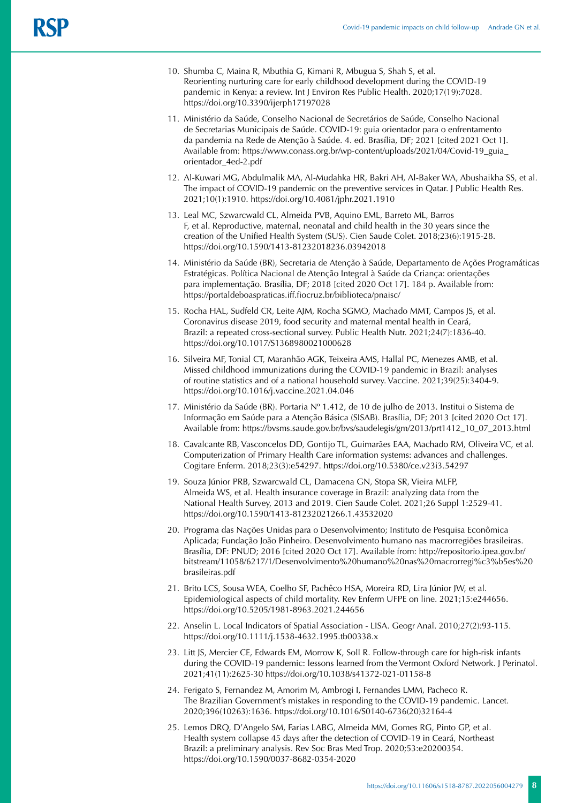- 10. Shumba C, Maina R, Mbuthia G, Kimani R, Mbugua S, Shah S, et al. Reorienting nurturing care for early childhood development during the COVID-19 pandemic in Kenya: a review. Int J Environ Res Public Health. 2020;17(19):7028. https://doi.org/10.3390/ijerph17197028
- 11. Ministério da Saúde, Conselho Nacional de Secretários de Saúde, Conselho Nacional de Secretarias Municipais de Saúde. COVID-19: guia orientador para o enfrentamento da pandemia na Rede de Atenção à Saúde. 4. ed. Brasília, DF; 2021 [cited 2021 Oct 1]. Available from: [https://www.conass.org.br/wp-content/uploads/2021/04/Covid-19\\_guia\\_](https://www.conass.org.br/wp-content/uploads/2021/04/Covid-19_guia_orientador_4ed-2.pdf) [orientador\\_4ed-2.pdf](https://www.conass.org.br/wp-content/uploads/2021/04/Covid-19_guia_orientador_4ed-2.pdf)
- 12. Al-Kuwari MG, Abdulmalik MA, Al-Mudahka HR, Bakri AH, Al-Baker WA, Abushaikha SS, et al. The impact of COVID-19 pandemic on the preventive services in Qatar. J Public Health Res. 2021;10(1):1910. https://doi.org/10.4081/jphr.2021.1910
- 13. Leal MC, Szwarcwald CL, Almeida PVB, Aquino EML, Barreto ML, Barros F, et al. Reproductive, maternal, neonatal and child health in the 30 years since the creation of the Unified Health System (SUS). Cien Saude Colet. 2018;23(6):1915-28. https://doi.org/10.1590/1413-81232018236.03942018
- 14. Ministério da Saúde (BR), Secretaria de Atenção à Saúde, Departamento de Ações Programáticas Estratégicas. Política Nacional de Atenção Integral à Saúde da Criança: orientações para implementação. Brasília, DF; 2018 [cited 2020 Oct 17]. 184 p. Available from: https://portaldeboaspraticas.iff.fiocruz.br/biblioteca/pnaisc/
- 15. Rocha HAL, Sudfeld CR, Leite AJM, Rocha SGMO, Machado MMT, Campos JS, et al. Coronavirus disease 2019, food security and maternal mental health in Ceará, Brazil: a repeated cross-sectional survey. Public Health Nutr. 2021;24(7):1836-40. https://doi.org/10.1017/S1368980021000628
- 16. Silveira MF, Tonial CT, Maranhão AGK, Teixeira AMS, Hallal PC, Menezes AMB, et al. Missed childhood immunizations during the COVID-19 pandemic in Brazil: analyses of routine statistics and of a national household survey. Vaccine. 2021;39(25):3404-9. https://doi.org/10.1016/j.vaccine.2021.04.046
- 17. Ministério da Saúde (BR). Portaria Nº 1.412, de 10 de julho de 2013. Institui o Sistema de Informação em Saúde para a Atenção Básica (SISAB). Brasília, DF; 2013 [cited 2020 Oct 17]. Available from: https://bvsms.saude.gov.br/bvs/saudelegis/gm/2013/prt1412\_10\_07\_2013.html
- 18. Cavalcante RB, Vasconcelos DD, Gontijo TL, Guimarães EAA, Machado RM, Oliveira VC, et al. Computerization of Primary Health Care information systems: advances and challenges. Cogitare Enferm. 2018;23(3):e54297. https://doi.org/10.5380/ce.v23i3.54297
- 19. Souza Júnior PRB, Szwarcwald CL, Damacena GN, Stopa SR, Vieira MLFP, Almeida WS, et al. Health insurance coverage in Brazil: analyzing data from the National Health Survey, 2013 and 2019. Cien Saude Colet. 2021;26 Suppl 1:2529-41. https://doi.org/10.1590/1413-81232021266.1.43532020
- 20. Programa das Nações Unidas para o Desenvolvimento; Instituto de Pesquisa Econômica Aplicada; Fundação João Pinheiro. Desenvolvimento humano nas macrorregiões brasileiras. Brasília, DF: PNUD; 2016 [cited 2020 Oct 17]. Available from: http://repositorio.ipea.gov.br/ bitstream/11058/6217/1/Desenvolvimento%20humano%20nas%20macrorregi%c3%b5es%20 brasileiras.pdf
- 21. Brito LCS, Sousa WEA, Coelho SF, Pachêco HSA, Moreira RD, Lira Júnior JW, et al. Epidemiological aspects of child mortality. Rev Enferm UFPE on line. 2021;15:e244656. https://doi.org/10.5205/1981-8963.2021.244656
- 22. Anselin L. Local Indicators of Spatial Association LISA. Geogr Anal. 2010;27(2):93-115. https://doi.org/10.1111/j.1538-4632.1995.tb00338.x
- 23. Litt JS, Mercier CE, Edwards EM, Morrow K, Soll R. Follow-through care for high-risk infants during the COVID-19 pandemic: lessons learned from the Vermont Oxford Network. J Perinatol. 2021;41(11):2625-30 https://doi.org/10.1038/s41372-021-01158-8
- 24. Ferigato S, Fernandez M, Amorim M, Ambrogi I, Fernandes LMM, Pacheco R. The Brazilian Government's mistakes in responding to the COVID-19 pandemic. Lancet. 2020;396(10263):1636. https://doi.org/10.1016/S0140-6736(20)32164-4
- 25. Lemos DRQ, D'Angelo SM, Farias LABG, Almeida MM, Gomes RG, Pinto GP, et al. Health system collapse 45 days after the detection of COVID-19 in Ceará, Northeast Brazil: a preliminary analysis. Rev Soc Bras Med Trop. 2020;53:e20200354. https://doi.org/10.1590/0037-8682-0354-2020